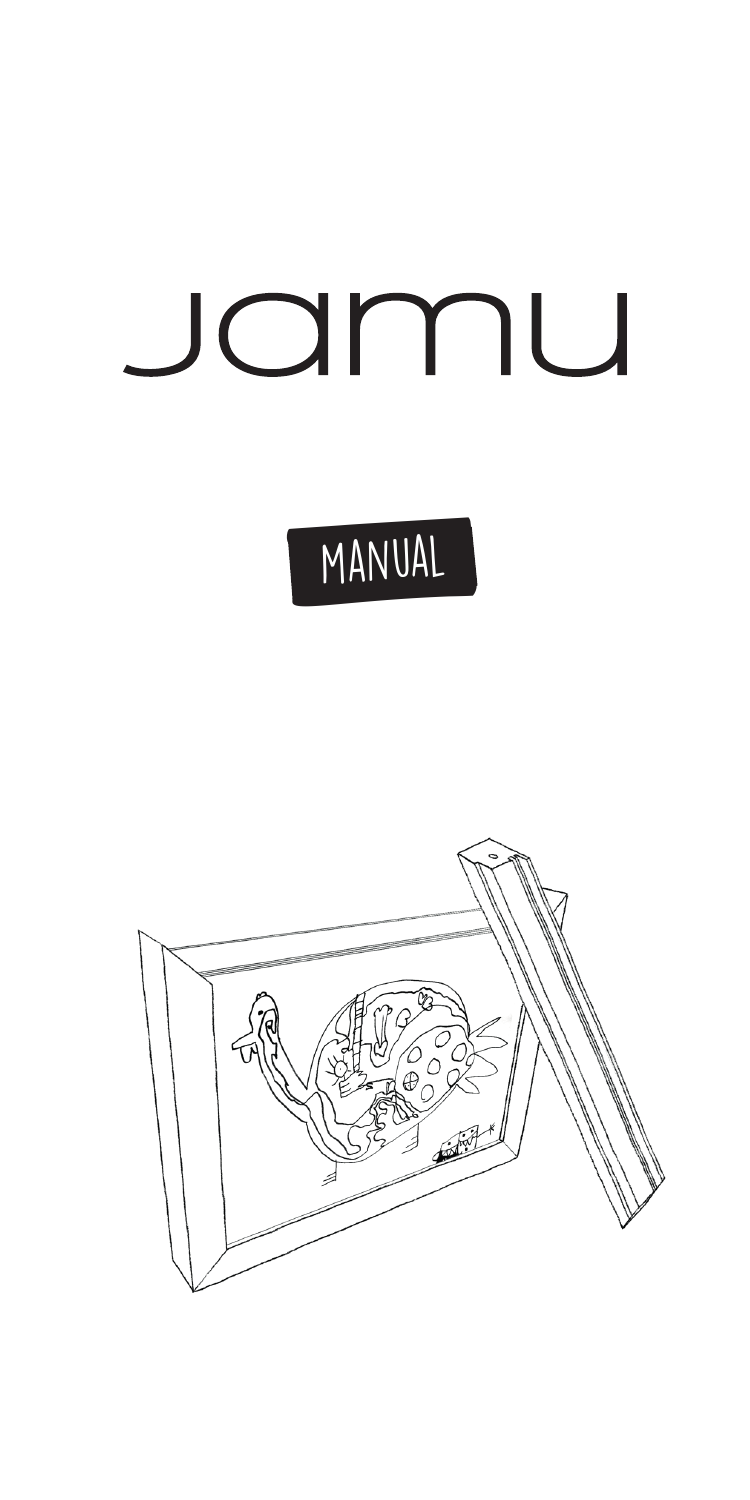## Jamu

## MANUAL

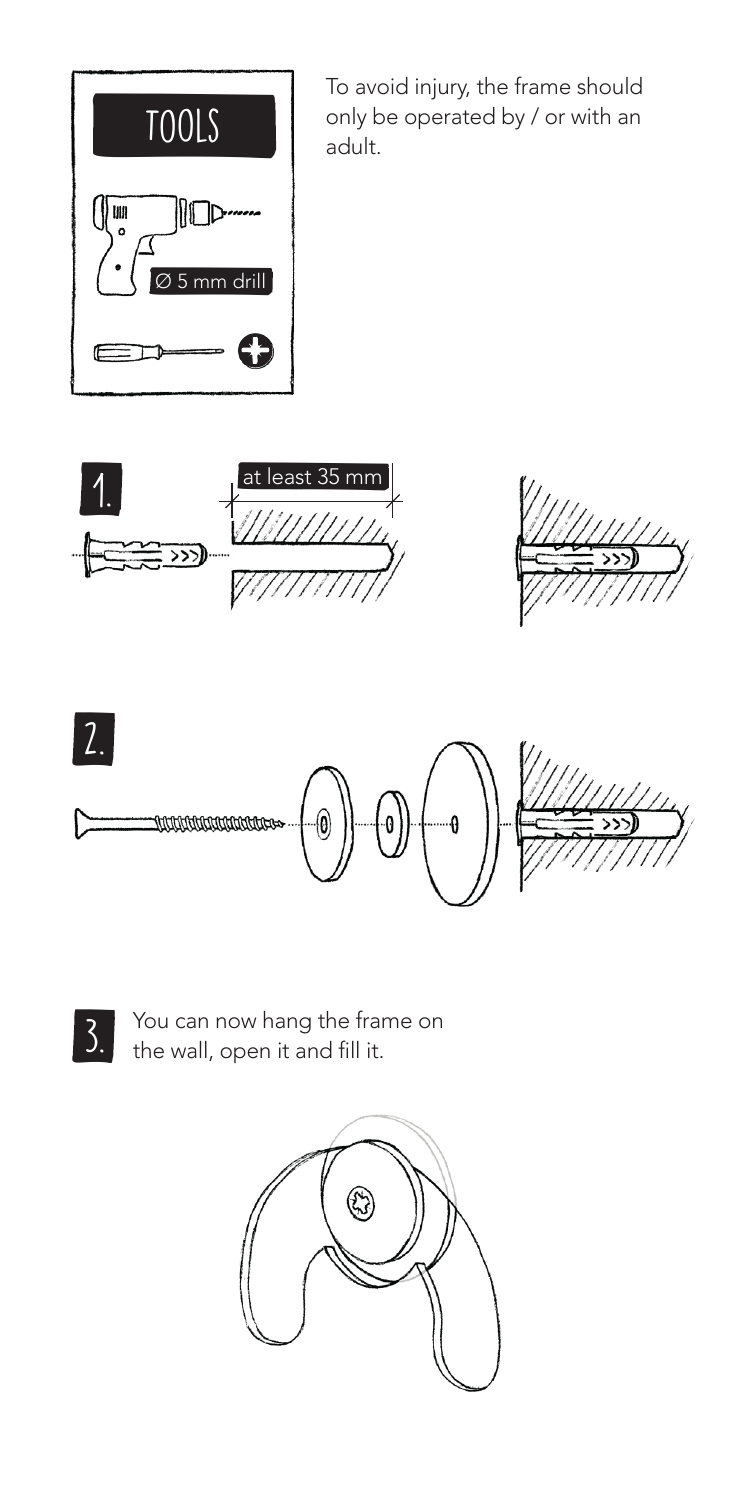

To avoid injury, the frame should only be operated by / or with an adult.









3. You can now hang the frame on<br>3. the wall, open it and fill it.

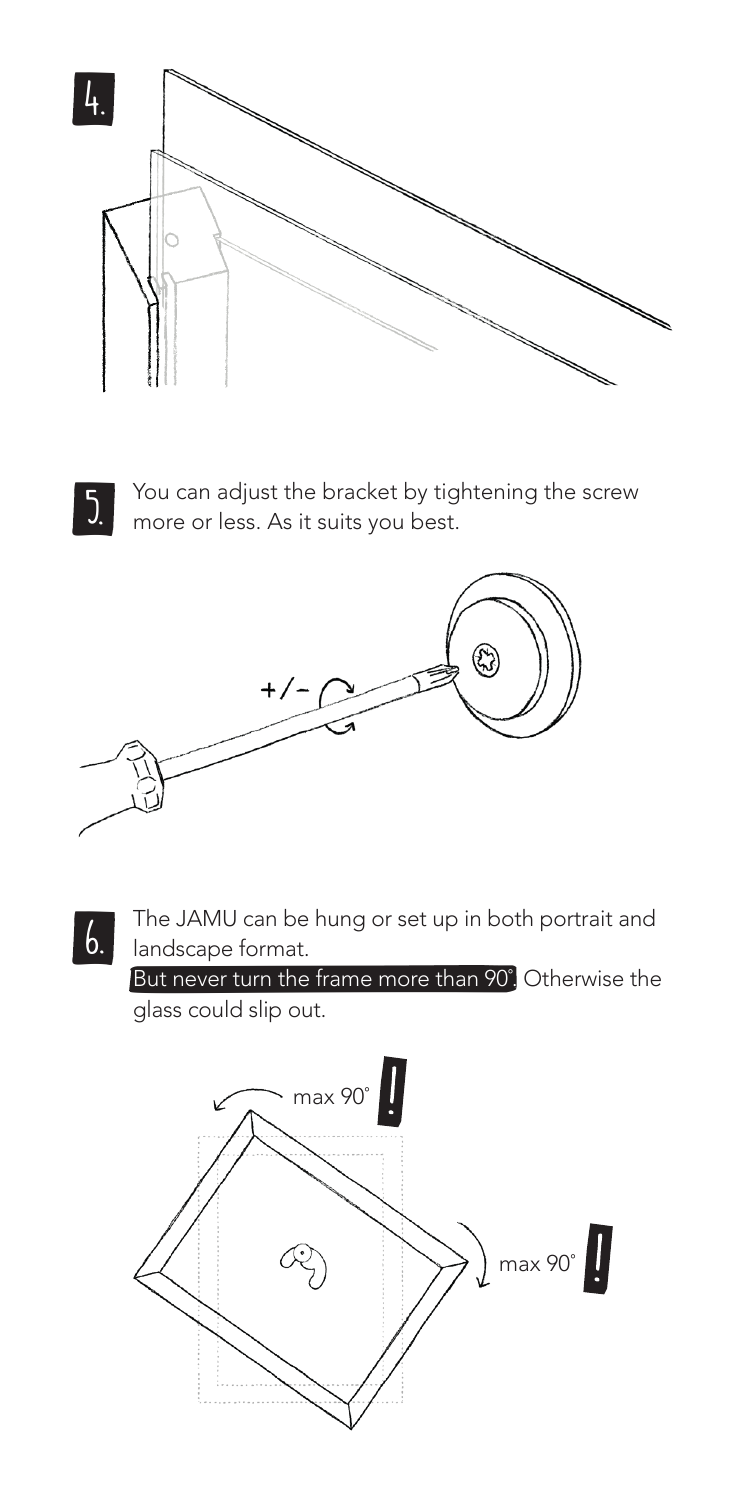



You can adjust the bracket by tightening the screw  $\frac{1}{2}$  You can adjust the bracket by tig<br>more or less. As it suits you best.



 $\mathfrak{b}$ . The JAMU can be hung or set up in both portrait and landscape format.

But never turn the frame more than 90° Otherwise the glass could slip out.